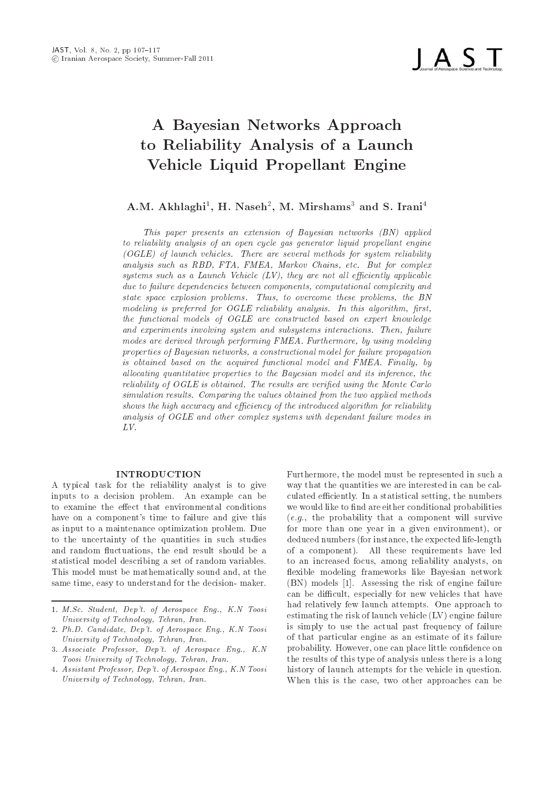I A S T

# A Bayesian Networks Approach to Reliability Analysis of a Launch Vehicle Liquid Propellant Engine

## A.M. AKHIAGHI, H. INASEH, M. MIIISHAMS, AND S. ITAMI,

This paper presents an extension of Bayesian networks (BN) applied to reliability analysis of an open cycle gas generator liquid propellant engine ogle og launch verhet verset are se several methods for system reliability are several methods for system and analysis such as RBD for Extra FMEAT, we have completely that  $\mathbb{R}^n$  for complex  $\mathbb{R}^n$ systems such as a Launch Vehicle  $(LV)$ , they are not all efficiently applicable due to failure dependencies between components, computational complexity and state space explosion problems- within the BN collection problems, with war modeling is preferred for OGLE reliability analysis. Only 1999 anger the product of the second complete  $\mathcal{L}$ the functional models of OGLE are constructed based on expert knowledge and experiments involving system and subsystems interactions- Then failure modes are derived through performing FMEA- Farming modeling modeling modeling modeling properties of Bayesian networks, a constructional model for failure propagation is obtained based on the acquired functional model and FMEA- Final ly by allocating quantitative properties to the Bayesian model and its inference, the reliability of OGLE is obtained- which is not obtained using the Monte Carlos are verificated using the Monte C simulation results- a ring or ing one compared results- pressure income me processions in the second shows the high accuracy and efficiency of the introduced algorithm for reliability analysis of OGLE and other complex systems with dependant failure modes in  $LV$ 

### INTRODUCTION

A typical task for the reliability analyst is to give inputs to a decision problem. An example can be to examine the effect that environmental conditions  $\mathbf{f}$  time to failure and give this failure and give this failure and give this failure and give this failure and give this failure and give the set of  $\mathbf{f}$ as input to a maintenance optimization problem. Due to the uncertainty of the quantities in such studies and random fluctuations, the end result should be a statistical model describing a set of random variables This model must be mathematically sound and, at the same time, easy to understand for the decision- maker.

Furthermore, the model must be represented in such a way that the quantities we are interested in can be cal culated efficiently. In a statistical setting, the numbers we would like to find are either conditional probabilities  $(e.g., the probability that a component will survive$ for more than one year in a given environment), or deduced numbers (for instance, the expected life-length of a component). All these requirements have led to an increased focus, among reliability analysts, on flexible modeling frameworks like Bayesian network  $\mathcal{A}$  assessment failure failure failure failure failure failure failure failure failure failure failure failure failure failure failure failure failure failure failure failure failure failure failure failure failure f can be difficult, especially for new vehicles that have had relatively few launch attempts. One approach to estimating the risk of launch vehicle (LV) engine failure is simply to use the actual past frequency of failure of that particular engine as an estimate of its failure probability. However, one can place little confidence on the results of this type of analysis unless there is a long history of launch attempts for the vehicle in question When this is the case, two other approaches can be

me also dependent of the strategy of the second control of the second control of the second control of the second University of Technology, Tehran, Iran.

<sup>-</sup> PhD Candidate Dep-t of Aerospace Eng KN Toosi University of Technology, Tehran, Iran.

as absociates being and the Professor Department Department of the Professor Department of the Department of L Toosi University of Technology, Tehran, Iran.

as a accessor a complete that the contract and the engineering of Aerospace Engineering Contracts and the contr University of Technology, Tehran, Iran.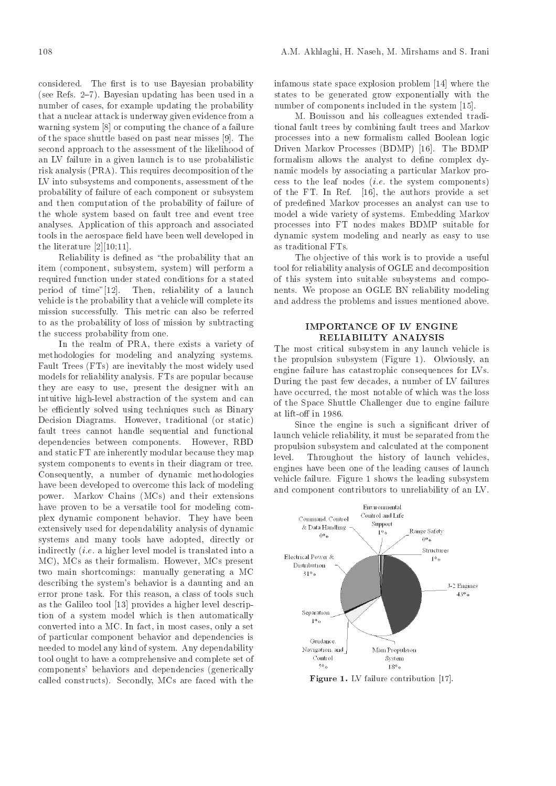considered. The first is to use Bayesian probability see Refs Bayesian updating has been used in a number of cases, for example updating the probability that a nuclear attack is underway given evidence from a warding system of a failure of a failure of a failure of a failure of a failure of a failure of a failure of a failure of a failure of a failure of a failure of a failure of a failure of a failure of a failure of a failur of the space shuttle based on past near misses  $[9]$ . The second approach to the assessment of the likelihood of an LV failure in a given launch is to use probabilistic risk analysis PRA This requires decomposition of the LV into subsystems and components, assessment of the probability of failure of each component or subsystem and then computation of the probability of failure of the whole system based on fault tree and event tree analyses Application of this approach and associated tools in the aerospace field have been well developed in the literature  $[2][10;11]$ .

Reliability is defined as "the probability that an item component subsystem system will perform <sup>a</sup> required function under stated conditions for a stated period of time"[12]. Then, reliability of a launch vehicle is the probability that a vehicle will complete its mission successfully. This metric can also be referred to as the probability of loss of mission by subtracting the success probability from one

In the realm of PRA, there exists a variety of methodologies for modeling and analyzing systems Fault Trees FTs are inevitably the most widely used models for reliability analysis. FTs are popular because they are easy to use, present the designer with an intuitive high-level abstraction of the system and can be efficiently solved using techniques such as Binary Decision Diagrams. However, traditional (or static) fault trees cannot handle sequential and functional dependencies between components. However, RBD and static FT are inherently modular because they map  $\frac{\text{prop}}{\text{level}}$ . system components to events in their diagram or tree Consequently, a number of dynamic methodologies have been developed to overcome this lack of modeling power Markov Chains McSentensions McSentensions McSentensions McSentensions McSentensions McSentensions McSentensions McSentensions McSentensions McSentensions McSentensions McSentensions McSentensions McSentensions McSent have proven to be a versatile tool for modeling com plex dynamic component behavior. They have been extensively used for dependability analysis of dynamic systems and many tools have adopted, directly or indirectly (*i.e.* a higher level model is translated into a **Electrical Power**  $\&$ ma a ji ana any indrindra dia amin'ny faritr'i Americana paositra 2008. Ny faritr'i Normalie, ao amin'ny faritr'i Normalie, ao amin'ny faritr'i Normalie, ao amin'ny faritr'i Normalie, ao amin'ny faritr'i Normalie, ao amin two main shortcomings: manually generating a MC 31% describing the system's behavior is a daunting and an error prone task. For this reason, a class of tools such as the Galileo tool  $[13]$  provides a higher level description of a system model which is then automatically converted into a MC. In fact, in most cases, only a set of particular component behavior and dependencies is needed to model any kind of system. Any dependability tool ought to have a comprehensive and complete set of components' behaviors and dependencies (generically called construction are faced with the construction of the face  $\sim$ 

infamous state space explosion problem  $[14]$  where the states to be generated grow exponentially with the number of components included in the system [15].

M. Bouissou and his colleagues extended traditional fault trees by combining fault trees and Markov processes into a new formalism called Boolean logic are the mathematic processes and provided by the BDMP and the BDMP of the BDMP of the BDMP of the BDMP of the BDMP of the BDMP of the BDMP of the BDMP of the BDMP of the BDMP of the BDMP of the BDMP of the BDMP of the BDMP formalism allows the analyst to define complex dynamic models by associating a particular Markov pro cess to the leaf nodes  $(i.e.$  the system components) of the FT. In Ref.  $[16]$ , the authors provide a set of predened Markov processes an analyst can use to model a wide variety of systems Embedding Markov processes into FT nodes makes BDMP suitable for dynamic system modeling and nearly as easy to use as traditional FTs

The objective of this work is to provide a useful tool for reliability analysis of OGLE and decomposition of this system into suitable subsystems and compo nents. We propose an OGLE BN reliability modeling and address the problems and issues mentioned above

#### IMPORTANCE OF LV ENGINE RELIABILITY ANALYSIS

The most critical subsystem in any launch vehicle is the propulsion subsystem  $\mathcal{A}$  and  $\mathcal{A}$  and  $\mathcal{A}$  and  $\mathcal{A}$  and  $\mathcal{A}$  and  $\mathcal{A}$  and  $\mathcal{A}$  and  $\mathcal{A}$  and  $\mathcal{A}$  and  $\mathcal{A}$  and  $\mathcal{A}$  and  $\mathcal{A}$  and  $\mathcal{A}$  and  $\mathcal{A}$  and  $\mathcal{A}$  and  $\$ engine failure has catastrophic consequences for LVs During the past few decades, a number of LV failures have occurred, the most notable of which was the loss of the Space Shuttle Challenger due to engine failure

Since the engine is such a significant driver of launch vehicle reliability, it must be separated from the propulsion subsystem and calculated at the component Throughout the history of launch vehicles, engines have been one of the leading causes of launch vehicle failure. Figure 1 shows the leading subsystem and component contributors to unreliability of an LV



 $\mathbf{r}$  igure 1. Ly failure contribution  $\|\mathbf{r}\|$ .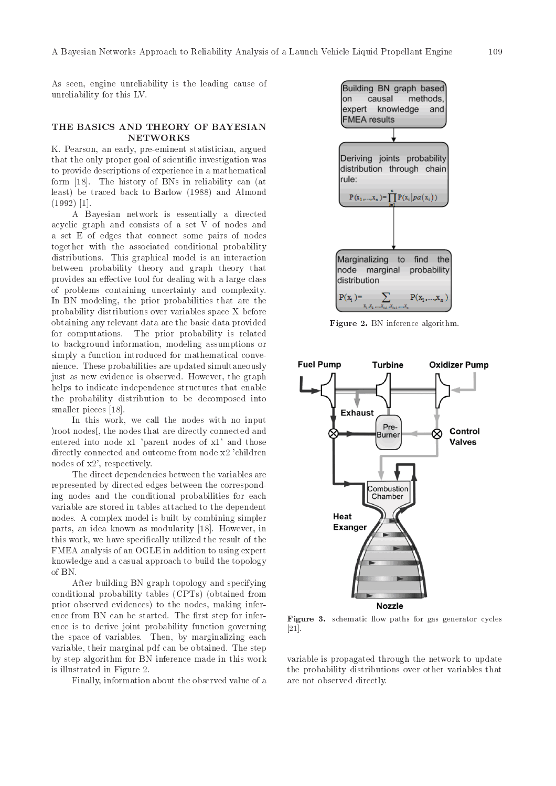As seen, engine unreliability is the leading cause of unreliability for this LV

### THE BASICS AND THEORY OF BAYESIAN NETWORKS

K. Pearson, an early, pre-eminent statistician, argued that the only proper goal of scientific investigation was to provide descriptions of experience in a mathematical form in the history of BNs in reliability can be a structured by a structure of the history of BNs in reliability can be a structured by a structure of the structure of the structure of the structure of the structure of th least be traced back to Barlow - and Almond -- 

A Bayesian network is essentially a directed acyclic graph and consists of a set V of nodes and a set E of edges that connect some pairs of nodes together with the associated conditional probability distributions This graphical model is an interaction between probability theory and graph theory that provides an effective tool for dealing with a large class of problems containing uncertainty and complexity In BN modeling, the prior probabilities that are the probability distributions over variables space X before obtaining any relevant data are the basic data provided for computations The prior probability is related to background information, modeling assumptions or simply a function introduced for mathematical conve nience. These probabilities are updated simultaneously just as new evidence is observed. However, the graph helps to indicate independence structures that enable the probability distribution to be decomposed into smaller pieces [18].

In this work, we call the nodes with no input ) root nodes [, the nodes that are directly connected and entered into node  $x1$  'parent nodes of  $x1$ ' and those directly connected and outcome from node x2 'children nodes of  $x2'$ , respectively.

The direct dependencies between the variables are represented by directed edges between the correspond ing nodes and the conditional probabilities for each variable are stored in tables attached to the dependent nodes A complex model is built by combining simpler parts, an idea known as modularity [18]. However, in this work, we have specifically utilized the result of the FMEA analysis of an OGLE in addition to using expert knowledge and a casual approach to build the topology of BN

After building BN graph topology and specifying conditional probability tables CPTs obtained from prior observed evidences) to the nodes, making inference from BN can be started. The first step for inference is to derive joint probability function governing the space of variables. Then, by marginalizing each variable, their marginal pdf can be obtained. The step by step algorithm for BN inference made in this work is illustrated in Figure 

Finally, information about the observed value of a



 $\bf r$  is a region in the rence algorithm.



figure - a paths for gas generator cycles and gas generator of and control  $- - -$ 

variable is propagated through the network to update the probability distributions over other variables that are not observed directly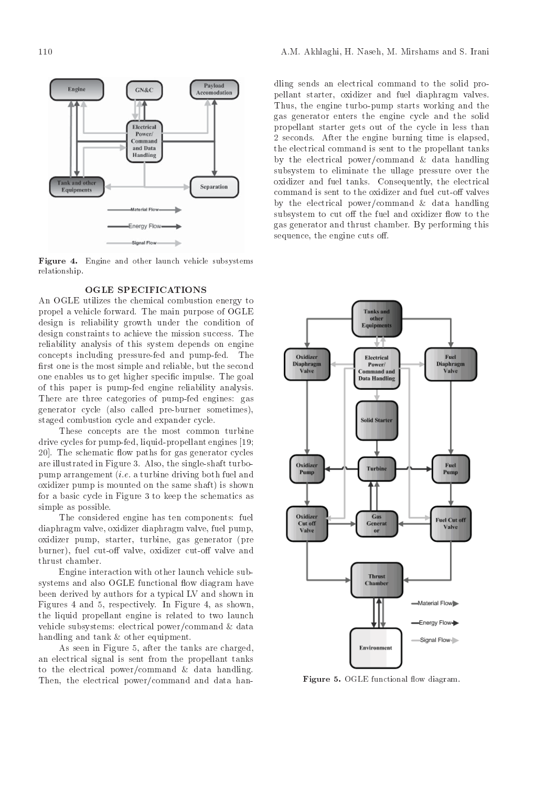

Figure – Figure and place was divided and details that the control substitution of the substitution of the subs relationship

## OGLE SPECIFICATIONS

An OGLE utilizes the chemical combustion energy to propel a vehicle forward- The main purpose of OGLE design is reliability growth under the condition of design constraints to achieve the mission success- The reliability analysis of this system depends on engine concepts including pressure for the pump for the pump for the pump for the pump for the pump for the pump for the pump for the pump for the pump for the pump for the pump for the pump for the pump for the pump for the pump first one is the most simple and reliable, but the second one enables us to get higher species in the goal input  $\mathbf{u}$ of this paper is pump-fed engine reliability analysis. There are three categories of pump-fed engines: gas generator cycle (also called pre-burner sometimes), staged combustion cycle and expander cycle-

These concepts are the most common turbine drive cycles for pumpfed and may be pumpfed and contact the component of the contact of the contact of the contact of the contact of the contact of the contact of the contact of the contact of the contact of the contact of 
- The schematic ow paths for gas generator cycles are illustrated in Figure - illustrated in Figure - illustrated in Figure - illustrated in Figure - illustrated pump arrangement *(i.e.* a turbine driving both fuel and oxidizer pump is mounted on the same shaft) is shown for a basic cycle in Figure 3 to keep the schematics as simple as possible.

The considered engine has ten components: fuel diaphragm valve, oxidizer diaphragm valve, fuel pump, oxidizer pump, starter, turbine, gas generator (pre burner), fuel cut-off valve, oxidizer cut-off valve and thrust chamber.

Engine interaction with other launch vehicle sub systems and also OGLE functional flow diagram have been derived by authors for a typical LV and shown in Figure . In Figure , and  $\mathbf{F}$  is a shown that  $\mathbf{F}$ the liquid propellant engine is related to two launch vehicle subsystems: electrical power/command  $\&$  data handling and tank  $&$  other equipment.

As seen in Figure 5, after the tanks are charged, an electrical signal is sent from the propellant tanks to the electrical power/command  $\&$  data handling. Then, the electrical power/command and data handling sends an electrical command to the solid pro pellant starter, oxidizer and fuel diaphragm valves. Thus, the engine turbo-pump starts working and the gas generator enters the engine cycle and the solid propellant starter gets out of the cycle in less than seconds- after the engine condition is electric time is electrically and the engine is electrically and the engine is electrically and the engine is electrically and the engine is electrically and the engine is electricall the electrical command is sent to the propellant tanks by the electrical power/command  $\&$  data handling subsystem to eliminate the ullage pressure over the oxidizer and fueltanks-the electrical states of the electrical states of the electrical states of the electrical states of the electrical states of the electrical states of the electrical states of the electrical states of command is sent to the oxidizer and fuel cut-off valves by the electrical power/command  $\&$  data handling subsystem to cut off the fuel and oxidizer flow to the gas generator and thrust chamber- By performing this sequence, the engine cuts off.



**Figure 3.** OGLE functional now diagram.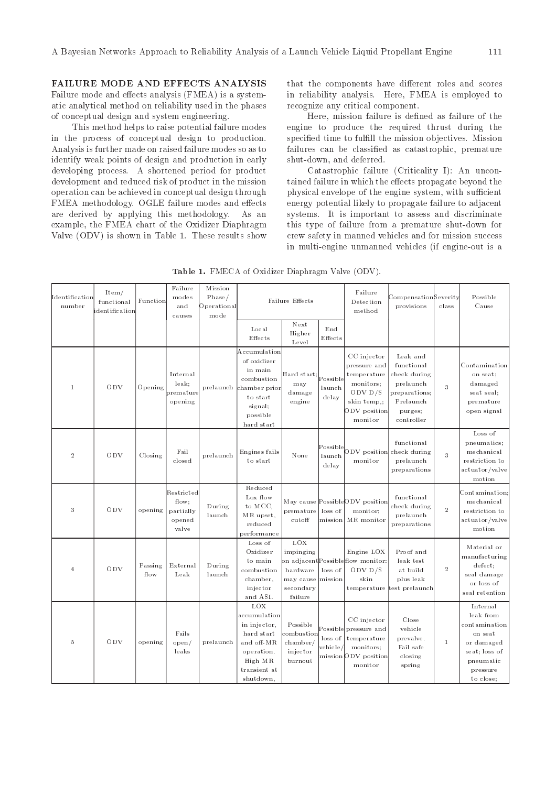## FAILURE MODE AND EFFECTS ANALYSIS

Failure mode and eects analysis -FMEA is a system atic analytical method on reliability used in the phases of conceptual design and system engineering

This method helps to raise potential failure modes in the process of conceptual design to production Analysis is further made on raised failure modes so as to identify weak points of design and production in early developing process. A shortened period for product development and reduced risk of product in the mission operation can be achieved in conceptual design through FMEA methodology. OGLE failure modes and effects are derived by applying this methodology As an example, the FMEA chart of the Oxidizer Diaphragm Valve -ODV is shown in Table These results show

that the components have different roles and scores in reliability analysis. Here, FMEA is employed to recognize any critical component

Here, mission failure is defined as failure of the engine to produce the required thrust during the specified time to fulfill the mission objectives. Mission failures can be classified as catastrophic, premature shut-down, and deferred.

Catastrophic failure -Criticality I An uncon tained failure in which the effects propagate beyond the physical envelope of the engine system, with sufficient energy potential likely to propagate failure to adjacent systems. It is important to assess and discriminate this type of failure from a premature shut-down for crew safety in manned vehicles and for mission success in multiengine unmanned vehicles -if engineout is a

| Identification<br>number | It em/<br>functional<br>dentification | Function        | Failure<br>modes<br>and<br>causes                   | Mission<br>Phase/<br>Operational<br>mode |                                                                                                                                  | Failure Effects                                                   |                                | Failure<br>Detection<br>met hod                                                                                | ${\tt Compensation}$ Severity<br>provisions                                                                | class          | Possible<br>Cause                                                                                                      |
|--------------------------|---------------------------------------|-----------------|-----------------------------------------------------|------------------------------------------|----------------------------------------------------------------------------------------------------------------------------------|-------------------------------------------------------------------|--------------------------------|----------------------------------------------------------------------------------------------------------------|------------------------------------------------------------------------------------------------------------|----------------|------------------------------------------------------------------------------------------------------------------------|
|                          |                                       |                 |                                                     |                                          | Local<br>Effects                                                                                                                 | Next<br>Higher<br>Level                                           | End<br>Effects                 |                                                                                                                |                                                                                                            |                |                                                                                                                        |
| $1\,$                    | ODV                                   | Opening         | Internal<br>leak:<br>premature<br>opening           |                                          | Accumulation<br>of oxidizer<br>in main<br>combustion<br>prelaunch chamber prior<br>to start<br>signal;<br>possible<br>hard start | Hard start; Possible<br>may<br>damage<br>engine                   | launch<br>delay                | CC injector<br>pressure and<br>temperature<br>monitors;<br>ODV $D/S$<br>skin temp,;<br>ODV position<br>monitor | Leak and<br>functional<br>check during<br>prelaunch<br>preparations;<br>Prelaunch<br>purges;<br>controller | $\sqrt{3}$     | Contamination<br>on seat;<br>damaged<br>seat seal;<br>premature<br>open signal                                         |
| $\,2$                    | ODV                                   | Closing         | Fail<br>closed                                      | prelaunch                                | Engines fails<br>to start                                                                                                        | None                                                              | Possible<br>launch<br>delay    | ODV position<br>monitor                                                                                        | functional<br>check during<br>prelaunch<br>preparations                                                    | 3              | Loss of<br>pneumatics;<br>mechanical<br>restriction to<br>actuator/valve<br>motion                                     |
| 3                        | ODV                                   | opening         | Restricted<br>flow;<br>partially<br>opened<br>valve | During<br>launch                         | Reduced<br>Lox flow<br>to MCC,<br>MR upset,<br>reduced<br>performance                                                            | premature<br>cutoff                                               | loss of<br>mission             | May cause PossibleODV position<br>monit or:<br>MR monitor                                                      | functional<br>check during<br>prelaunch<br>preparations                                                    | $\sqrt{2}$     | Contamination<br>mechanical<br>restriction to<br>actuator/valve<br>motion                                              |
| 4                        | ODV                                   | Passing<br>flow | External<br>Leak                                    | During<br>launch                         | Loss of<br>Oxidizer<br>to main<br>combustion<br>chamber,<br>injector<br>and ASI.                                                 | LOX<br>impinging<br>hardware<br>may cause<br>secondary<br>failure | loss of<br>mission             | Engine LOX<br>on adjacentPossibleflow monitor:<br>ODV $D/S$<br>skin                                            | Proof and<br>leak test<br>at build<br>plus leak<br>temperature test prelaunch                              | $\overline{2}$ | Material or<br>manufacturing<br>defect;<br>seal damage<br>or loss of<br>seal retention                                 |
| $\,$ 5                   | ODV                                   | opening         | Fails<br>open/<br>leaks                             | prelaunch                                | LOX<br>accumulation<br>in injector,<br>hard start<br>and off MR<br>operation.<br>High MR<br>transient at<br>shut down.           | Possible<br>combustion<br>chamber/<br>inject or<br>burnout        | Possible<br>loss of<br>vehicle | CC injector<br>pressure and<br>temperature<br>monitors;<br>mission ODV position<br>monitor                     | Close<br>vehicle<br>prevalve.<br>Fail safe<br>closing<br>spring                                            | $\mathbf{1}$   | Internal<br>leak from<br>contamination<br>on seat<br>or damaged<br>seat; loss of<br>pneumatic<br>pressure<br>to close; |

 $\text{Table 1:}$  FmBon of Oxidizer Diaphragm valve (ODV).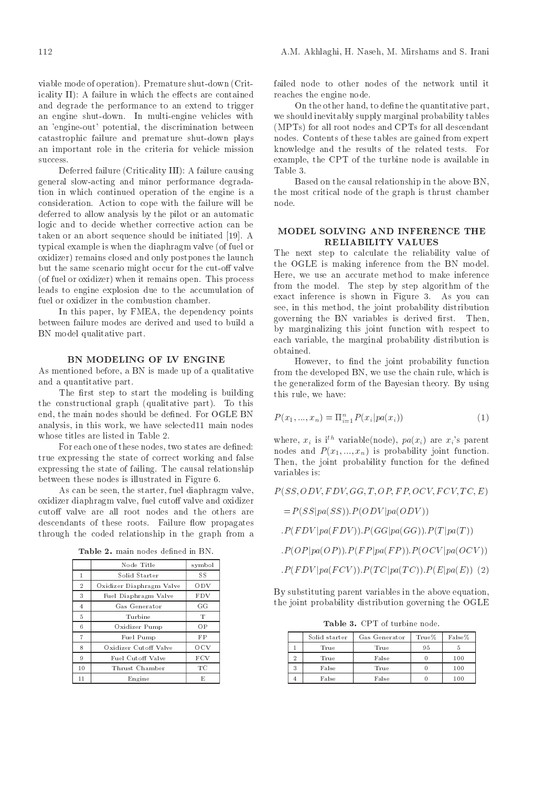viable mode of operation- Premature shutdown Crit icality  $II$ ): A failure in which the effects are contained and degrade the performance to an extend to trigger an engine shutdown- In multiengine vehicles with an 'engine-out' potential, the discrimination between catastrophic failure and premature shut-down plays an important role in the criteria for vehicle mission success.

Deferred failure (Criticality III): A failure causing general slowacting and minor performance degrada tion in which continued operation of the engine is a consideration- Action to cope with the failure will be deferred to allow analysis by the pilot or an automatic logic and to decide whether corrective action can be<br>MODEL SOLVING AND INFERENCE THE taken or an abort sequence should be initiated by initiated be initiated by initiated be initiated by initiate typical example is when the diaphragm valve (of fuel or oxidizer) remains closed and only postpones the launch but the same scenario might occur for the cut-off valve of fuel or oxidization is remains open-fuel or oxidizer when it remains open-fuel or  $\alpha$ leads to engine explosion due to the accumulation of fuel or oxidizer in the combustion chamber.

In this paper, by FMEA, the dependency points between failure modes are derived and used to build a BN model qualitative part.

### BN MODELING OF LV ENGINE

As mentioned before, a BN is made up of a qualitative and a quantitative part-

The first step to start the modeling is building the construction and graph qualitative part-  $\mathcal{C}$  and the construction of  $\mathcal{C}$ end the main nodes should be de
ned- For OGLE BN analysis, in this work, we have selected 11 main nodes whose titles are listed in Table 2.

For each one of these nodes, two states are defined: true expressing the state of correct working and false expressionally the states of failures of failing-the states of failing-the states of the causal relationship of the causal relationship of the causal relationship of the causal relationship of the causal relationship of th between these nodes is illustrated in Figure 6.

As can be seen, the starter, fuel diaphragm valve, oxidizer diaphragm valve, fuel cutoff valve and oxidizer cutoff valve are all root nodes and the others are descendants of these roots-called and the roots-called propagates. through the coded relationship in the graph from a

| Table 2. main nodes defined in BN. |  |  |
|------------------------------------|--|--|
|------------------------------------|--|--|

|                | Node Title               | symbol     |
|----------------|--------------------------|------------|
| 1              | Solid Starter            | SS         |
| $\overline{2}$ | Oxidizer Diaphragm Valve | ODV        |
| 3              | Fuel Diaphragm Valve     | <b>FDV</b> |
| 4              | Gas Generator            | GG         |
| 5              | Turbine                  | т          |
| 6              | Oxidizer Pump            | OP         |
| $\overline{7}$ | Fuel Pump                | FP         |
| 8              | Oxidizer Cutoff Valve    | OCV        |
| 9              | Fuel Cutoff Valve        | FCV        |
| 10             | Thrust Chamber           | TС         |
| 11             | Engine                   | E          |

failed node to other nodes of the network until it reaches the engine node.

On the other hand, to define the quantitative part, we should inevitably supply marginal probability tables (MPTs) for all root nodes and CPTs for all descendant nodes- Contents of these tables are gained from expert knowledge and the results of the results of the relationship of the relationship  $\mathbf{f}(\mathbf{A})$ example, the CPT of the turbine node is available in Table 3

Based on the causal relationship in the above BN the most critical node of the graph is thrust chamber node.

## RELIABILITY VALUES

The next step to calculate the reliability value of the OGLE is making inference from the BN model-Here, we use an accurate method to make inference from the model- The step by step algorithm of the exact in the shown in Figure -  $\mathcal{A}$  is started as  $\mathcal{A}$  and  $\mathcal{A}$  is started as  $\mathcal{A}$ see, in this method, the joint probability distribution governing the BN variables is derived rst- Then by marginalizing this joint function with respect to each variable, the marginal probability distribution is obtained.

However, to find the joint probability function from the developed BN, we use the chain rule, which is the generalized form of the Bayesian theory- By using this rule, we have:

$$
P(x_1, ..., x_n) = \Pi_{i=1}^n P(x_i | pa(x_i))
$$
\n(1)

where,  $x_i$  is ith variable node),  $pa(x_i)$  are  $x_i$  s parent nodes and  $P(x_1, ..., x_n)$  is probability joint function. Then, the joint probability function for the defined variables is

 $P(SS, ODV, FDV, GG, T, OP, FP, OCV, FCV, TC, E)$ 

 $= P(SS|pa(SS)). P(ODV|pa(ODV))$ 

 $P(FDV|pa(FDV))$ .  $P(GG|pa(GG))$ .  $P(T|pa(T))$ 

 $P(OP|pa(OP)). P(FP|pa(FP)). P(OCV|pa(OCV))$ 

$$
.P(FDV|pa(FCV)).P(TC|pa(TC)).P(E|pa(E)) (2)
$$

By substituting parent variables in the above equation the joint probability distribution governing the OGLE

**Table of the community of the set of the set of the set of the set of the set of the set of the set of the set** 

|   | Solid starter | Gas Generator | True% | False% |
|---|---------------|---------------|-------|--------|
|   | True          | True          | 95    |        |
| ച | True          | False         |       | 100    |
| 3 | False         | True          |       | 100    |
| 4 | False         | False         |       | 100    |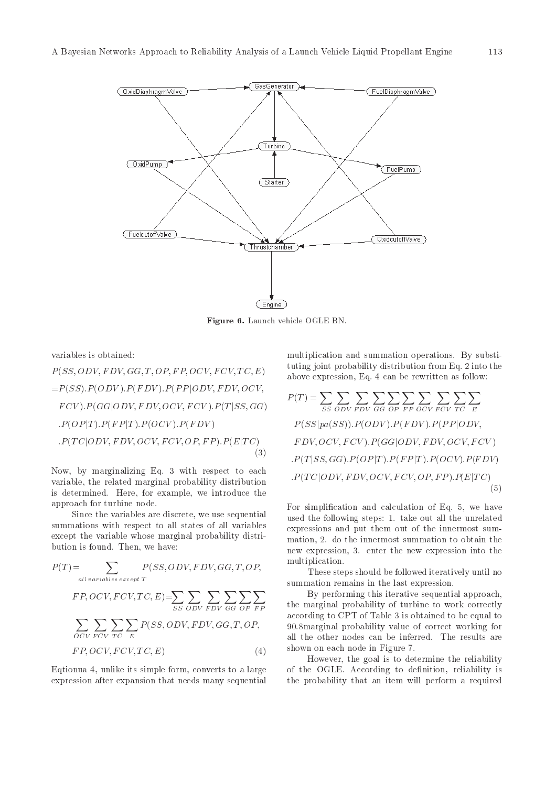

 ${\bf r}$  igure  ${\bf u}$ . Launch vehicle  $\cup$ GLE BN.

variables is obtained:

$$
P(SS, ODV, FDV, GG, T, OP, FP, OCV, FCV, TC, E)
$$
\n
$$
= P(SS).P(ODV).P(FDV).P(PP|ODV, FDV, OCV,
$$
\n
$$
FCV).P(GG|ODV, FDV, OCV, FCV).P(T|SS, GG)
$$
\n
$$
P(OP|T).P(FP|T).P(OCV).P(FDV)
$$
\n
$$
P(TC|ODV, FDV, OCV, FCV, OP, FP).P(E|TC)
$$
\n(3)

Now, by marginalizing Eq. 3 with respect to each variable, the related marginal probability distribution is determined. Here, for example, we introduce the approach for turbine node

Since the variables are discrete, we use sequential summations with respect to all states of all variables except the variable whose marginal probability distri bution is found. Then, we have:

$$
P(T) = \sum_{all\ variables\ except\ T} P(SS, ODV, FDV, GG, T, OP, \qquad \text{mut}
$$
\n
$$
FP, OCV, FCV, TC, E) = \sum_{SS\ ODV\ FDV} \sum_{GG\ OP\ FP} \sum_{PP} \qquad \text{the}
$$
\n
$$
\sum_{OCV\ FCV\ TC} \sum_{TC} \sum_{E} P(SS, ODV, FDV, GG, T, OP, \qquad \text{acc}
$$
\n
$$
P(CV, FCV, TC, EC) \qquad \text{(4)}
$$

Eqtionua 4, unlike its simple form, converts to a large expression after expansion that needs many sequential

multiplication and summation operations. By substituting joint probability distribution from Eq. ( ) and the experimental experimental experimental experimental o above expression, Eq. 4 can be rewritten as follow:

$$
P(T) = \sum_{SS} \sum_{ODV} \sum_{FDV} \sum_{GG} \sum_{OP} \sum_{FPOCV} \sum_{TC} \sum_{E} \sum_{DV} \sum_{PV} \sum_{QV} \sum_{PV} \sum_{QV} \sum_{PV} \sum_{QV} \sum_{PV} \sum_{QV} \sum_{PV} \sum_{QV} \sum_{QV} \sum_{QV} \sum_{QV} \sum_{QV} \sum_{QV} \sum_{QV} \sum_{QV} \sum_{QV} \sum_{QV} \sum_{QV} \sum_{QV} \sum_{QV} \sum_{QV} \sum_{QV} \sum_{QV} \sum_{QV} \sum_{QV} \sum_{QV} \sum_{QV} \sum_{QV} \sum_{QV} \sum_{QV} \sum_{QV} \sum_{QV} \sum_{QV} \sum_{QV} \sum_{QV} \sum_{QV} \sum_{QV} \sum_{QV} \sum_{QV} \sum_{QV} \sum_{QV} \sum_{QV} \sum_{QV} \sum_{QV} \sum_{QV} \sum_{QV} \sum_{QV} \sum_{QV} \sum_{QV} \sum_{QV} \sum_{QV} \sum_{QV} \sum_{QV} \sum_{QV} \sum_{QV} \sum_{QV} \sum_{QV} \sum_{QV} \sum_{QV} \sum_{QV} \sum_{QV} \sum_{QV} \sum_{QV} \sum_{QV} \sum_{QV} \sum_{QV} \sum_{QV} \sum_{QV} \sum_{QV} \sum_{QV} \sum_{QV} \sum_{QV} \sum_{QV} \sum_{QV} \sum_{QV} \sum_{QV} \sum_{QV} \sum_{QV} \sum_{QV} \sum_{QV} \sum_{QV} \sum_{QV} \sum_{QV} \sum_{QV} \sum_{QV} \sum_{QV} \sum_{QV} \sum_{QV} \sum_{QV} \sum_{QV} \sum_{QV} \sum_{QV} \sum_{QV} \sum_{QV} \sum_{QV} \sum_{QV} \sum_{QV} \sum_{QV} \sum_{QV} \sum_{QV} \sum_{QV} \sum_{QV} \sum_{QV} \sum_{QV} \sum_{QV} \sum_{QV} \sum_{QV} \sum_{QV} \sum_{QV} \sum_{QV} \sum_{QV} \sum_{QV} \sum_{QV} \sum_{QV} \sum_{QV} \sum_{
$$

For simplification and calculation of Eq.  $5$ , we have  $\mathbf{r}$  take out all the unrelated the unrelated the unrelated term in the unrelated term in the unrelated term in the unrelated term in the unrelated term in the unrelated term in the unrelated term in the unrelated ter expressions and put them out of the innermost sum mation do the innermost summation to obtain the new expression, 3. enter the new expression into the multiplication

These steps should be followed iteratively until no summation remains in the last expression.

 $\sum \sum \sum$   $\sum$  By performing this iterative sequential approach, the marginal probability of turbine to work correctly according to CPT of Table 3 is obtained to be equal to 90.8 marginal probability value of correct working for all the other nodes can be inferred. The results are shown on each node in Figure 7.

> However, the goal is to determine the reliability of the OGLE. According to definition, reliability is the probability that an item will perform a required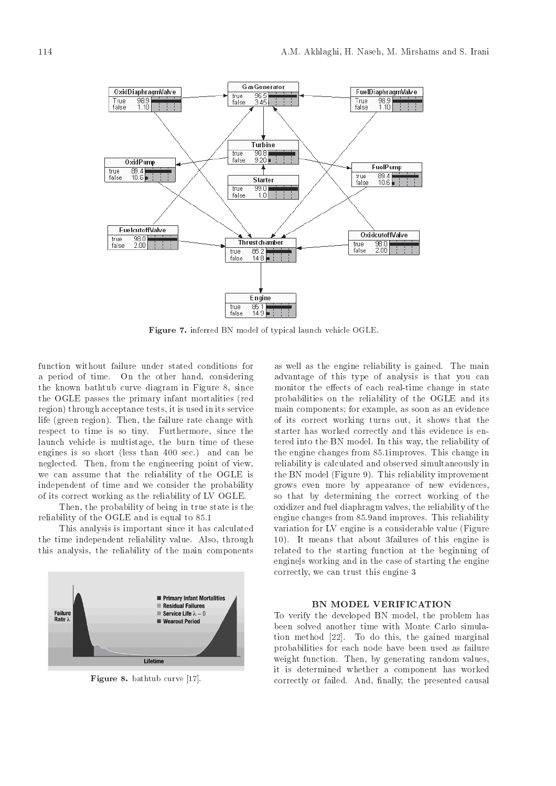

Figure inferred BN model of typical launch vehicle OGLE

function without failure under stated conditions for a period of time- On the other hand considering the known bathtub curve diagram in Figure 8, since the OGLE passes the primary infant mortalities (red region) through acceptance tests, it is used in its service life and the failure rate of the failure rate change with  $\alpha$ respect to time is so time is so time in the so time in the so time is so time in the so time in the so time i launch vehicle is multistage, the burn time of these engines is so short less than being that if  $\mathcal{C}$ neglected- Then from the engineering point of view we can assume that the reliability of the OGLE is independent of time and we consider the probability of its correct working as the reliability of LV OGLE-

Then, the probability of being in true state is the reliability of the OGLE and is equal to - OGLE and is equal to - OGLE and is equal to - OGLE and is equal to -

This analysis is important since it has calculated the time independent reliability values in the set of the state  $\mathcal{A}$ this analysis the reliability of the main components



 $\mathbf r$  igure  $\mathbf s$ . Datified curve  $\| \mathbf r \|$ .

as well as the engine reliability is gained- The main advantage of this type of analysis is that you can monitor the extension of  $\mathbf{r}$ probabilities on the reliability of the OGLE and its main components; for example, as soon as an evidence of its correct working turns out, it shows that the starter has worked correctly and this evidence is en tered into the BN model- In this way the reliability of the engine changes from -improves- This change in reliability is calculated and observed simultaneously in  $\mathbf{f}$  and  $\mathbf{f}$  and  $\mathbf{f}$  and  $\mathbf{f}$  is reliability in provement in provement in provement in the set of  $\mathbf{f}$ grows even more by appearance of new evidences so that by determining the correct working of the oxidizer and fuel diaphragm valves the reliability of the engine changes from -and improves- This reliability variation for LV engine is a considerable value (Figure - It as the means that we have the this end of the this engine is the second that  $\mathcal{L}_\mathbf{a}$ related to the starting function at the beginning of engines working and in the case of starting the engine correctly, we can trust this engine 3

#### BN MODEL VERIFICATION

To verify the developed BN model, the problem has been solved another time with Monte Carlo simula tion method of the gained matrix  $\mathbf{u}$  and  $\mathbf{u}$  and  $\mathbf{u}$  and  $\mathbf{u}$ probabilities for each node have been used as failure weight function-by generating random values of the state of the state of the state of the state of the state o it is determined whether a component has worked correctly the primary the presented causal presented causal causal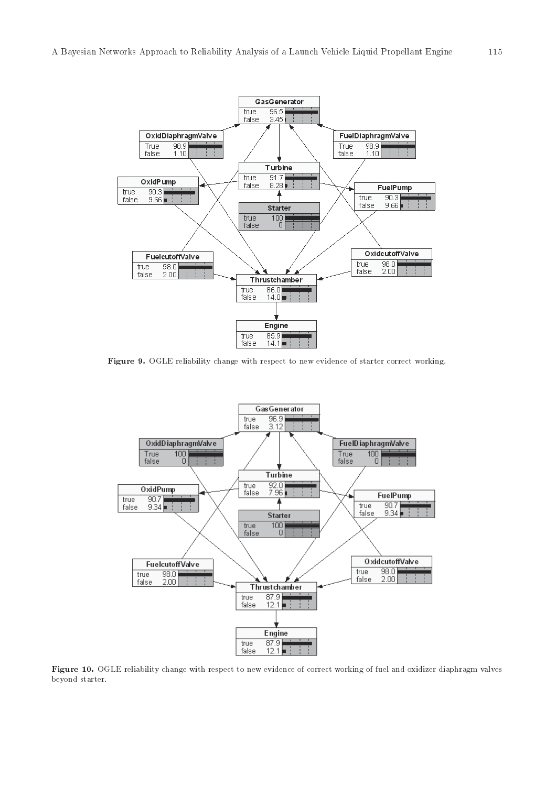

Figure OGLE reliability change with respect to new evidence of starter correct working



Figure - OGLE reliability change with respect to new evidence of correct working of fuel and oxidizer diaphragm valves beyond starter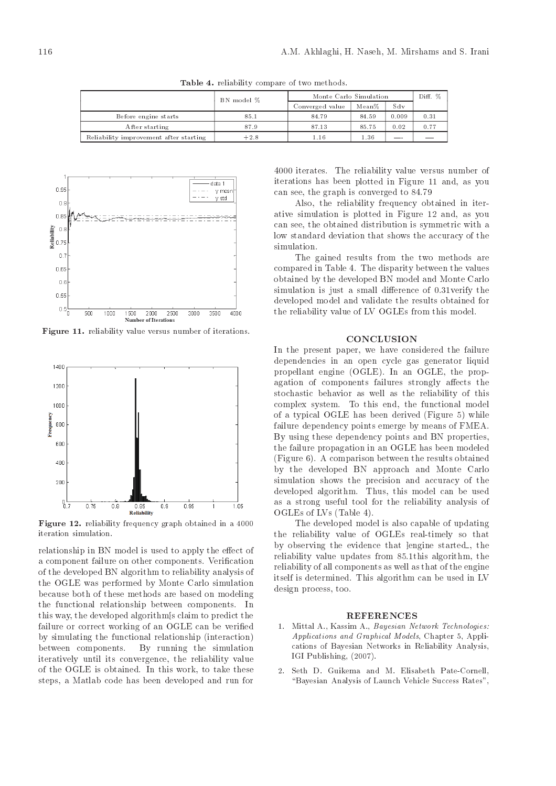Table reliability compare of two methods

|                                        | BN model $\%$ | Monte Carlo Simulation | Diff. % |       |      |
|----------------------------------------|---------------|------------------------|---------|-------|------|
|                                        |               | Converged value        | Mean%   | Sdv   |      |
| Before engine starts                   | 85.1          | 84.79                  | 84.59   | 0.009 | 0.31 |
| After starting                         | 87.9          | 87.13                  | 85.75   | 0.02  | 0.77 |
| Reliability improvement after starting | $+2.8$        | 1.16                   | 1.36    |       |      |



Figure -- reliability value versus number of iterations



**rigure 12.** reliability frequency graph obtained in a 4000 iteration simulation

relationship in BN model is used to apply the effect of a component failure on other components-  $\mathbb{R}$  components-  $\mathbb{R}$  components-  $\mathbb{R}$  components-  $\mathbb{R}$ of the developed BN algorithm to reliability analysis of the OGLE was performed by Monte Carlo simulation because both of these methods are based on modeling the functional relationship between components-In this way, the developed algorithms claim to predict the failure or correct working of an OGLE can be verified by simulating the functional relationship (interaction)  $\mathbf{B}$  running the simulation of  $\mathbf{B}$  running the simulation of  $\mathbf{B}$ iteratively until its convergence, the reliability value of the OGLE is obtained the OGLE is obtained the Company of the OGLE is a second to the United-States of the O steps, a Matlab code has been developed and run for

 iterates- The reliability value versus number of iterations has been plotted in Figure 11 and, as you can see the graph is converged to the graph is converged to the graph is converged to the graph is converged to

Also, the reliability frequency obtained in iterative simulation is plotted in Figure 12 and, as you can see, the obtained distribution is symmetric with a low standard deviation that shows the accuracy of the simulation.

The gained results from the two methods are compared in Table - The disparity between the values of the values of the values of the values of the values of obtained by the developed BN model and Monte Carlo simulation is just a small dierence of  $\mathcal{N}$  and  $\mathcal{N}$  the small dierence of  $\mathcal{N}$ developed model and validate the results obtained for the reliability value of LV OGLEs from this model-

#### **CONCLUSION**

In the present paper, we have considered the failure dependencies in an open cycle gas generator liquid properties and on the property of the property of the property of the property of the property of the property agation of components failures strongly affects the stochastic behavior as well as the reliability of this complex system-the functional model model model model model model model model model model model model model mo of a typical OGLE has been derived (Figure  $5$ ) while failure dependency points emerge by means of FMEA. By using these dependency points and BN properties the failure propagation in an OGLE has been modeled  $F = \{A, \ldots, A\}$ by the developed BN approach and Monte Carlo simulation shows the precision and accuracy of the developed algorithm-developed algorithm-developed algorithm-developed algorithm-developed algorithm-developed a as a strong useful tool for the reliability analysis of OGLEs of LVs (Table 4).

The developed model is also capable of updating the reliability value of OGLEs real
timely so that by observing the evidence that lengine started, the reliability value updates the second collection and the collection of the second collection of the collection o reliability of all components as well as that of the engine itself is determined in  $\mathbf{M}$ design process, too.

#### REFERENCES

- 1. Mittal A., Kassim A., Bayesian Network Technologies: Applications and Graphical Models, Chapter 5, Applications of Bayesian Networks in Reliability Analysis IGI PUBLISHING - PUBLISHING - PUBLISHING - PUBLISHING - PUBLISHING - PUBLISHING - PUBLISHING - PUBLISHING - PU
- Seth D. Guikema and M. Elisabeth Pate-Cornell. Bayesian Analysis of Launch Vehicle Success Rates